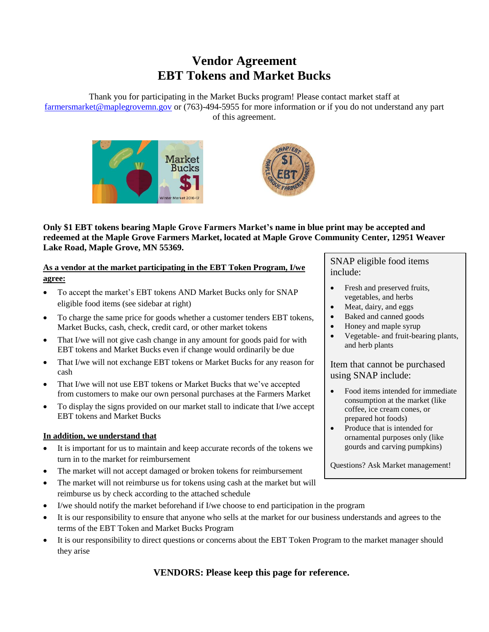## **Vendor Agreement EBT Tokens and Market Bucks**

Thank you for participating in the Market Bucks program! Please contact market staff at [farmersmarket@maplegrovemn.gov](mailto:farmersmarket@maplegrovemn.gov) or (763)-494-5955 for more information or if you do not understand any part of this agreement.





**Only \$1 EBT tokens bearing Maple Grove Farmers Market's name in blue print may be accepted and redeemed at the Maple Grove Farmers Market, located at Maple Grove Community Center, 12951 Weaver Lake Road, Maple Grove, MN 55369.**

**As a vendor at the market participating in the EBT Token Program, I/we agree:**

- To accept the market's EBT tokens AND Market Bucks only for SNAP eligible food items (see sidebar at right)
- To charge the same price for goods whether a customer tenders EBT tokens, Market Bucks, cash, check, credit card, or other market tokens
- That I/we will not give cash change in any amount for goods paid for with EBT tokens and Market Bucks even if change would ordinarily be due
- That I/we will not exchange EBT tokens or Market Bucks for any reason for cash
- That I/we will not use EBT tokens or Market Bucks that we've accepted from customers to make our own personal purchases at the Farmers Market
- To display the signs provided on our market stall to indicate that I/we accept EBT tokens and Market Bucks

#### **In addition, we understand that**

- It is important for us to maintain and keep accurate records of the tokens we turn in to the market for reimbursement
- The market will not accept damaged or broken tokens for reimbursement
- The market will not reimburse us for tokens using cash at the market but will reimburse us by check according to the attached schedule
- I/we should notify the market beforehand if I/we choose to end participation in the program
- It is our responsibility to ensure that anyone who sells at the market for our business understands and agrees to the terms of the EBT Token and Market Bucks Program
- It is our responsibility to direct questions or concerns about the EBT Token Program to the market manager should they arise

**VENDORS: Please keep this page for reference.**

### SNAP eligible food items include:

- Fresh and preserved fruits, vegetables, and herbs
- Meat, dairy, and eggs
- Baked and canned goods
- Honey and maple syrup
- Vegetable- and fruit-bearing plants, and herb plants

Item that cannot be purchased using SNAP include:

- Food items intended for immediate consumption at the market (like coffee, ice cream cones, or prepared hot foods)
- Produce that is intended for ornamental purposes only (like gourds and carving pumpkins)

Questions? Ask Market management!